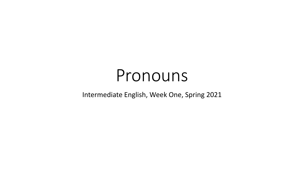# Pronouns

#### Intermediate English, Week One, Spring 2021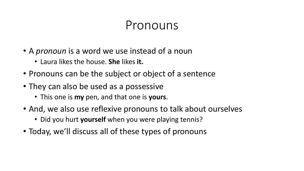#### Pronouns

- A *pronoun* is a word we use instead of a noun
	- Laura likes the house. **She** likes **it.**
- Pronouns can be the subject or object of a sentence
- They can also be used as a possessive
	- This one is **my** pen, and that one is **yours**.
- And, we also use reflexive pronouns to talk about ourselves
	- Did you hurt **yourself** when you were playing tennis?
- Today, we'll discuss all of these types of pronouns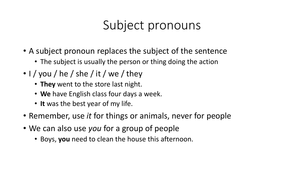## Subject pronouns

- A subject pronoun replaces the subject of the sentence
	- The subject is usually the person or thing doing the action
- $\cdot$  I / you / he / she / it / we / they
	- **They** went to the store last night.
	- **We** have English class four days a week.
	- **It** was the best year of my life.
- Remember, use *it* for things or animals, never for people
- We can also use *you* for a group of people
	- Boys, **you** need to clean the house this afternoon.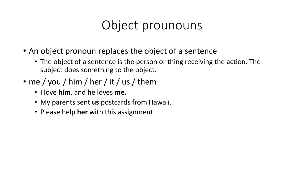# Object prounouns

- An object pronoun replaces the object of a sentence
	- The object of a sentence is the person or thing receiving the action. The subject does something to the object.
- me / you / him / her / it / us / them
	- I love **him**, and he loves **me.**
	- My parents sent **us** postcards from Hawaii.
	- Please help **her** with this assignment.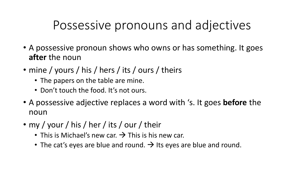### Possessive pronouns and adjectives

- A possessive pronoun shows who owns or has something. It goes **after** the noun
- mine / yours / his / hers / its / ours / theirs
	- The papers on the table are mine.
	- Don't touch the food. It's not ours.
- A possessive adjective replaces a word with 's. It goes **before** the noun
- my / your / his / her / its / our / their
	- This is Michael's new car.  $\rightarrow$  This is his new car.
	- The cat's eyes are blue and round.  $\rightarrow$  Its eyes are blue and round.